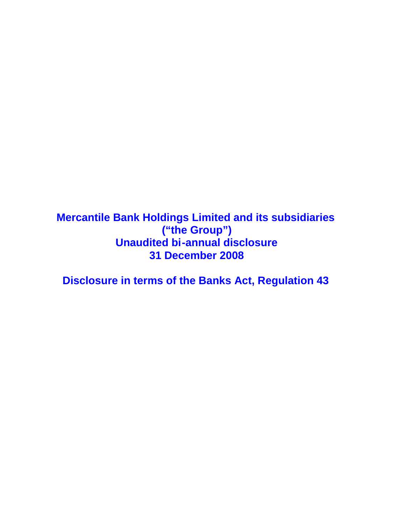**Mercantile Bank Holdings Limited and its subsidiaries ("the Group") Unaudited bi-annual disclosure 31 December 2008**

**Disclosure in terms of the Banks Act, Regulation 43**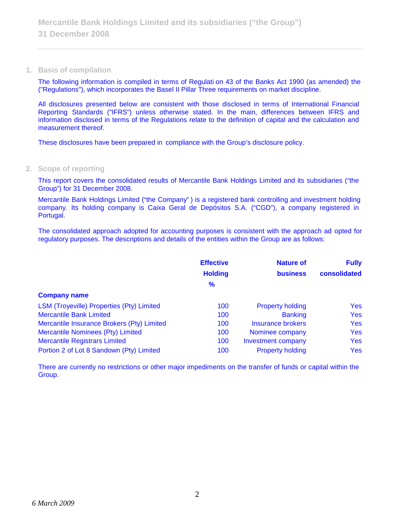**1. Basis of compilation**

The following information is compiled in terms of Regulati on 43 of the Banks Act 1990 (as amended) the ("Regulations"), which incorporates the Basel II Pillar Three requirements on market discipline.

All disclosures presented below are consistent with those disclosed in terms of International Financial Reporting Standards ("IFRS") unless otherwise stated. In the main, differences between IFRS and information disclosed in terms of the Regulations relate to the definition of capital and the calculation and measurement thereof.

These disclosures have been prepared in compliance with the Group's disclosure policy.

**2. Scope of reporting**

This report covers the consolidated results of Mercantile Bank Holdings Limited and its subsidiaries ("the Group") for 31 December 2008.

Mercantile Bank Holdings Limited ("the Company" ) is a registered bank controlling and investment holding company. Its holding company is Caixa Geral de Depósitos S.A. ("CGD"), a company registered in Portugal.

The consolidated approach adopted for accounting purposes is consistent with the approach ad opted for regulatory purposes. The descriptions and details of the entities within the Group are as follows:

|                                            | <b>Effective</b> | <b>Nature of</b>          | <b>Fully</b> |
|--------------------------------------------|------------------|---------------------------|--------------|
|                                            | <b>Holding</b>   | <b>business</b>           | consolidated |
|                                            | $\%$             |                           |              |
| <b>Company name</b>                        |                  |                           |              |
| LSM (Troyeville) Properties (Pty) Limited  | 100              | <b>Property holding</b>   | Yes          |
| <b>Mercantile Bank Limited</b>             | 100              | <b>Banking</b>            | <b>Yes</b>   |
| Mercantile Insurance Brokers (Pty) Limited | 100              | <b>Insurance brokers</b>  | <b>Yes</b>   |
| Mercantile Nominees (Pty) Limited          | 100              | Nominee company           | Yes          |
| <b>Mercantile Registrars Limited</b>       | 100              | <b>Investment company</b> | <b>Yes</b>   |
| Portion 2 of Lot 8 Sandown (Pty) Limited   | 100              | <b>Property holding</b>   | Yes          |

There are currently no restrictions or other major impediments on the transfer of funds or capital within the Group.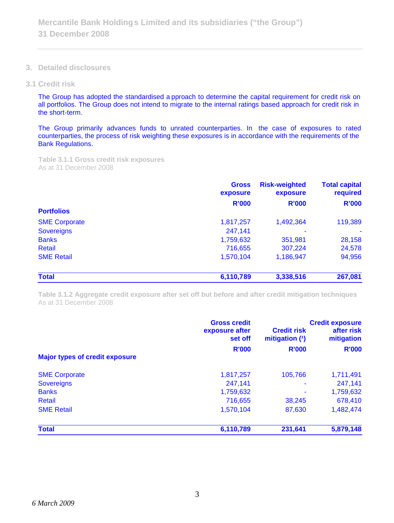**3. Detailed disclosures**

#### **3.1 Credit risk**

The Group has adopted the standardised a pproach to determine the capital requirement for credit risk on all portfolios. The Group does not intend to migrate to the internal ratings based approach for credit risk in the short-term.

The Group primarily advances funds to unrated counterparties. In the case of exposures to rated counterparties, the process of risk weighting these exposures is in accordance with the requirements of the Bank Regulations.

**Table 3.1.1 Gross credit risk exposures** As at 31 December 2008

|                                           | <b>Gross</b><br>exposure                     | <b>Risk-weighted</b><br>exposure     | <b>Total capital</b><br>required<br><b>R'000</b><br>119,389<br>28,158<br>24,578 |
|-------------------------------------------|----------------------------------------------|--------------------------------------|---------------------------------------------------------------------------------|
|                                           | <b>R'000</b>                                 | <b>R'000</b>                         |                                                                                 |
| <b>Portfolios</b>                         |                                              |                                      |                                                                                 |
| <b>SME Corporate</b><br><b>Sovereigns</b> | 1,817,257<br>247,141<br>1,759,632<br>716,655 | 1,492,364<br>۰<br>351,981<br>307,224 |                                                                                 |
|                                           |                                              |                                      |                                                                                 |
| Retail                                    |                                              |                                      |                                                                                 |
| <b>SME Retail</b>                         |                                              |                                      |                                                                                 |
| <b>Total</b>                              | 6,110,789                                    | 3,338,516                            | 267,081                                                                         |

**Table 3.1.2 Aggregate credit exposure after set off but before and after credit mitigation techniques** As at 31 December 2008

| <b>Major types of credit exposure</b> | <b>Gross credit</b><br>exposure after<br>set off<br><b>R'000</b> | <b>Credit risk</b><br>mitigation (1)<br><b>R'000</b> | <b>Credit exposure</b><br>after risk<br>mitigation<br><b>R'000</b> |
|---------------------------------------|------------------------------------------------------------------|------------------------------------------------------|--------------------------------------------------------------------|
| <b>SME Corporate</b>                  | 1,817,257                                                        | 105,766                                              | 1,711,491                                                          |
| <b>Sovereigns</b>                     | 247,141                                                          | ۰                                                    | 247,141                                                            |
| <b>Banks</b>                          | 1,759,632                                                        |                                                      | 1,759,632                                                          |
| <b>Retail</b>                         | 716,655                                                          | 38,245                                               | 678,410                                                            |
| <b>SME Retail</b>                     | 1,570,104                                                        | 87,630                                               | 1,482,474                                                          |
| <b>Total</b>                          | 6,110,789                                                        | 231,641                                              | 5,879,148                                                          |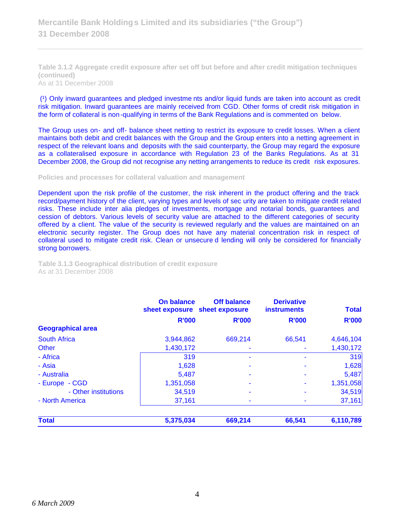**Table 3.1.2 Aggregate credit exposure after set off but before and after credit mitigation techniques (continued)** As at 31 December 2008

(1) Only inward guarantees and pledged investme nts and/or liquid funds are taken into account as credit risk mitigation. Inward guarantees are mainly received from CGD. Other forms of credit risk mitigation in the form of collateral is non-qualifying in terms of the Bank Regulations and is commented on below.

The Group uses on- and off- balance sheet netting to restrict its exposure to credit losses. When a client maintains both debit and credit balances with the Group and the Group enters into a netting agreement in respect of the relevant loans and deposits with the said counterparty, the Group may regard the exposure as a collateralised exposure in accordance with Regulation 23 of the Banks Regulations. As at 31 December 2008, the Group did not recognise any netting arrangements to reduce its credit risk exposures.

**Policies and processes for collateral valuation and management**

Dependent upon the risk profile of the customer, the risk inherent in the product offering and the track record/payment history of the client, varying types and levels of sec urity are taken to mitigate credit related risks. These include inter alia pledges of investments, mortgage and notarial bonds, guarantees and cession of debtors. Various levels of security value are attached to the different categories of security offered by a client. The value of the security is reviewed regularly and the values are maintained on an electronic security register. The Group does not have any material concentration risk in respect of collateral used to mitigate credit risk. Clean or unsecure d lending will only be considered for financially strong borrowers.

**Table 3.1.3 Geographical distribution of credit exposure** As at 31 December 2008

|                          | On balance<br>sheet exposure sheet exposure | <b>Off balance</b> | <b>Derivative</b><br><b>instruments</b> | <b>Total</b> |
|--------------------------|---------------------------------------------|--------------------|-----------------------------------------|--------------|
|                          | <b>R'000</b>                                | <b>R'000</b>       | <b>R'000</b>                            | <b>R'000</b> |
| <b>Geographical area</b> |                                             |                    |                                         |              |
| <b>South Africa</b>      | 3,944,862                                   | 669,214            | 66,541                                  | 4,646,104    |
| Other                    | 1,430,172                                   |                    |                                         | 1,430,172    |
| - Africa                 | 319                                         |                    |                                         | 319          |
| - Asia                   | 1,628                                       |                    | ٠                                       | 1,628        |
| - Australia              | 5,487                                       |                    |                                         | 5,487        |
| - Europe - CGD           | 1,351,058                                   |                    |                                         | 1,351,058    |
| - Other institutions     | 34,519                                      |                    |                                         | 34,519       |
| - North America          | 37,161                                      |                    |                                         | 37,161       |
| <b>Total</b>             | 5,375,034                                   | 669,214            | 66,541                                  | 6,110,789    |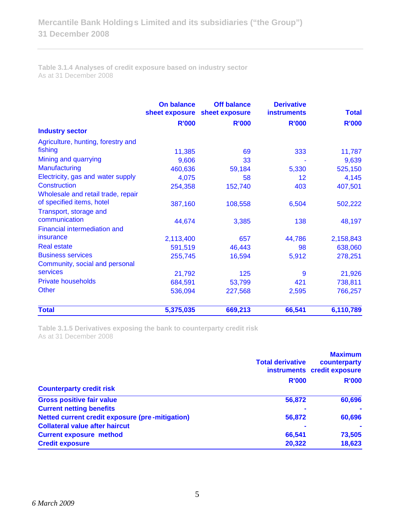**Table 3.1.4 Analyses of credit exposure based on industry sector** As at 31 December 2008

|                                                                 | On balance<br>sheet exposure | <b>Off balance</b><br>sheet exposure | <b>Derivative</b><br><b>instruments</b> | <b>Total</b> |
|-----------------------------------------------------------------|------------------------------|--------------------------------------|-----------------------------------------|--------------|
|                                                                 | <b>R'000</b>                 | <b>R'000</b>                         | <b>R'000</b>                            | <b>R'000</b> |
| <b>Industry sector</b>                                          |                              |                                      |                                         |              |
| Agriculture, hunting, forestry and<br>fishing                   | 11,385                       | 69                                   | 333                                     | 11,787       |
| Mining and quarrying                                            | 9,606                        | 33                                   |                                         | 9,639        |
| Manufacturing                                                   | 460,636                      | 59,184                               | 5,330                                   | 525,150      |
| Electricity, gas and water supply                               | 4,075                        | 58                                   | 12                                      | 4,145        |
| Construction                                                    | 254,358                      | 152,740                              | 403                                     | 407,501      |
| Wholesale and retail trade, repair<br>of specified items, hotel | 387,160                      | 108,558                              | 6,504                                   | 502,222      |
| Transport, storage and<br>communication                         | 44,674                       | 3,385                                | 138                                     | 48,197       |
| <b>Financial intermediation and</b><br>insurance                | 2,113,400                    | 657                                  | 44,786                                  | 2,158,843    |
| <b>Real estate</b>                                              | 591,519                      | 46,443                               | 98                                      | 638,060      |
| <b>Business services</b><br>Community, social and personal      | 255,745                      | 16,594                               | 5,912                                   | 278,251      |
| services                                                        | 21,792                       | 125                                  | 9                                       | 21,926       |
| <b>Private households</b>                                       | 684,591                      | 53,799                               | 421                                     | 738,811      |
| Other                                                           | 536,094                      | 227,568                              | 2,595                                   | 766,257      |
| <b>Total</b>                                                    | 5,375,035                    | 669,213                              | 66,541                                  | 6,110,789    |

**Table 3.1.5 Derivatives exposing the bank to counterparty credit risk** As at 31 December 2008

|                                                        | <b>Total derivative</b> | <b>Maximum</b><br>counterparty<br>instruments credit exposure |
|--------------------------------------------------------|-------------------------|---------------------------------------------------------------|
| <b>Counterparty credit risk</b>                        | <b>R'000</b>            | <b>R'000</b>                                                  |
| <b>Gross positive fair value</b>                       | 56,872                  | 60,696                                                        |
| <b>Current netting benefits</b>                        |                         |                                                               |
| <b>Netted current credit exposure (pre-mitigation)</b> | 56,872                  | 60,696                                                        |
| <b>Collateral value after haircut</b>                  |                         |                                                               |
| <b>Current exposure method</b>                         | 66.541                  | 73,505                                                        |
| <b>Credit exposure</b>                                 | 20,322                  | 18,623                                                        |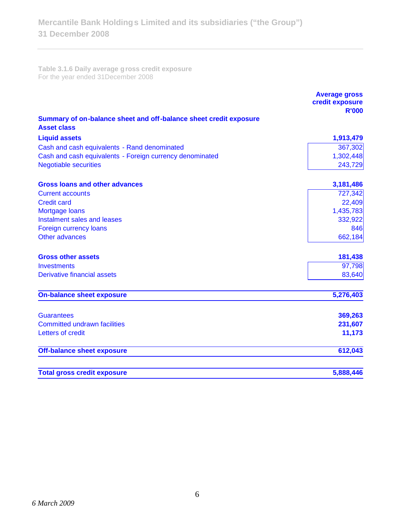**Table 3.1.6 Daily average gross credit exposure** For the year ended 31December 2008

|                                                                                         | <b>Average gross</b><br>credit exposure<br><b>R'000</b> |
|-----------------------------------------------------------------------------------------|---------------------------------------------------------|
| Summary of on-balance sheet and off-balance sheet credit exposure<br><b>Asset class</b> |                                                         |
| <b>Liquid assets</b>                                                                    | 1,913,479                                               |
| Cash and cash equivalents - Rand denominated                                            | 367,302                                                 |
| Cash and cash equivalents - Foreign currency denominated                                | 1,302,448                                               |
| <b>Negotiable securities</b>                                                            | 243,729                                                 |
| <b>Gross loans and other advances</b>                                                   | 3,181,486                                               |
| <b>Current accounts</b>                                                                 | 727,342                                                 |
| <b>Credit card</b>                                                                      | 22,409                                                  |
| Mortgage loans                                                                          | 1,435,783                                               |
| Instalment sales and leases                                                             | 332,922                                                 |
| Foreign currency loans                                                                  | 846                                                     |
| Other advances                                                                          | 662,184                                                 |
| <b>Gross other assets</b>                                                               | 181,438                                                 |
| <b>Investments</b>                                                                      | 97,798                                                  |
| <b>Derivative financial assets</b>                                                      | 83,640                                                  |
| <b>On-balance sheet exposure</b>                                                        | 5,276,403                                               |
| <b>Guarantees</b>                                                                       | 369,263                                                 |
| <b>Committed undrawn facilities</b>                                                     | 231,607                                                 |
| Letters of credit                                                                       | 11,173                                                  |
| <b>Off-balance sheet exposure</b>                                                       | 612,043                                                 |
| <b>Total gross credit exposure</b>                                                      | 5,888,446                                               |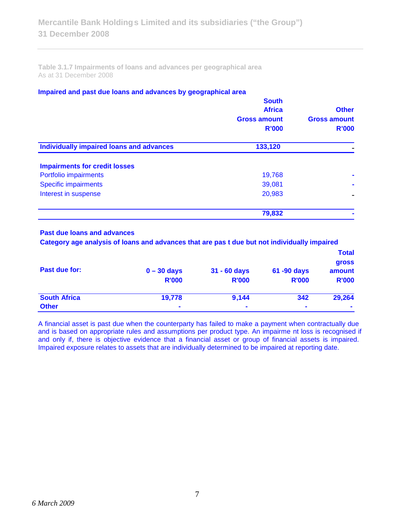**Table 3.1.7 Impairments of loans and advances per geographical area** As at 31 December 2008

## **Impaired and past due loans and advances by geographical area**

|                                                 | <b>South</b><br><b>Africa</b> |                                     |
|-------------------------------------------------|-------------------------------|-------------------------------------|
|                                                 | <b>Gross amount</b>           | <b>Other</b><br><b>Gross amount</b> |
|                                                 | <b>R'000</b>                  | <b>R'000</b>                        |
| <b>Individually impaired loans and advances</b> | 133,120                       |                                     |
| <b>Impairments for credit losses</b>            |                               |                                     |
| Portfolio impairments                           | 19,768                        |                                     |
| <b>Specific impairments</b>                     | 39,081                        |                                     |
| Interest in suspense                            | 20,983                        |                                     |
|                                                 | 79,832                        |                                     |

# **Past due loans and advances**

 **Category age analysis of loans and advances that are pas t due but not individually impaired**

|                     |                |                |                | <b>Total</b>    |
|---------------------|----------------|----------------|----------------|-----------------|
| Past due for:       | $0 - 30$ days  | 31 - 60 days   | 61 -90 days    | gross<br>amount |
|                     |                |                |                |                 |
|                     | <b>R'000</b>   | <b>R'000</b>   | <b>R'000</b>   | <b>R'000</b>    |
| <b>South Africa</b> | 19,778         | 9,144          | 342            | 29,264          |
| <b>Other</b>        | $\blacksquare$ | $\blacksquare$ | $\blacksquare$ | $\blacksquare$  |

A financial asset is past due when the counterparty has failed to make a payment when contractually due and is based on appropriate rules and assumptions per product type. An impairme nt loss is recognised if and only if, there is objective evidence that a financial asset or group of financial assets is impaired. Impaired exposure relates to assets that are individually determined to be impaired at reporting date.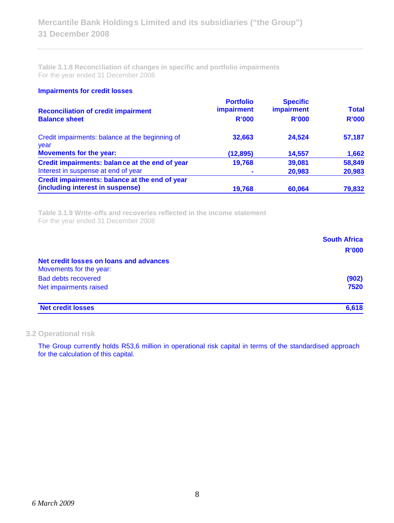**Table 3.1.8 Reconciliation of changes in specific and portfolio impairments** For the year ended 31 December 2008

#### **Impairments for credit losses**

| <b>Reconciliation of credit impairment</b><br><b>Balance sheet</b>                 | <b>Portfolio</b><br><i>impairment</i><br><b>R'000</b> | <b>Specific</b><br>impairment<br><b>R'000</b> | <b>Total</b><br><b>R'000</b> |
|------------------------------------------------------------------------------------|-------------------------------------------------------|-----------------------------------------------|------------------------------|
| Credit impairments: balance at the beginning of<br>year                            | 32,663                                                | 24.524                                        | 57,187                       |
| <b>Movements for the year:</b>                                                     | (12, 895)                                             | 14,557                                        | 1,662                        |
| Credit impairments: balance at the end of year                                     | 19,768                                                | 39,081                                        | 58,849                       |
| Interest in suspense at end of year                                                |                                                       | 20,983                                        | 20,983                       |
| Credit impairments: balance at the end of year<br>(including interest in suspense) | 19,768                                                | 60,064                                        | 79,832                       |

**Table 3.1.9 Write-offs and recoveries reflected in the income statement** For the year ended 31 December 2008

|                                         | <b>South Africa</b> |
|-----------------------------------------|---------------------|
|                                         | <b>R'000</b>        |
| Net credit losses on loans and advances |                     |
| Movements for the year:                 |                     |
| <b>Bad debts recovered</b>              | (902)               |
| Net impairments raised                  | 7520                |
| <b>Net credit losses</b>                | 6,618               |

### **3.2 Operational risk**

The Group currently holds R53,6 million in operational risk capital in terms of the standardised approach for the calculation of this capital.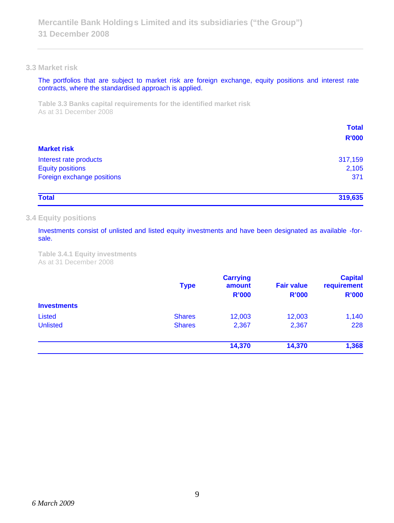## **3.3 Market risk**

The portfolios that are subject to market risk are foreign exchange, equity positions and interest rate contracts, where the standardised approach is applied.

**Table 3.3 Banks capital requirements for the identified market risk** As at 31 December 2008

|                            | <b>Total</b> |
|----------------------------|--------------|
| <b>Market risk</b>         | <b>R'000</b> |
|                            |              |
| Interest rate products     | 317,159      |
| <b>Equity positions</b>    | 2,105        |
| Foreign exchange positions | 371          |
| <b>Total</b>               | 319,635      |

### **3.4 Equity positions**

Investments consist of unlisted and listed equity investments and have been designated as available -forsale.

**Table 3.4.1 Equity investments** As at 31 December 2008

|                    | <b>Type</b>   | <b>Carrying</b><br>amount<br><b>R'000</b> | <b>Fair value</b><br><b>R'000</b> | <b>Capital</b><br>requirement<br><b>R'000</b> |
|--------------------|---------------|-------------------------------------------|-----------------------------------|-----------------------------------------------|
| <b>Investments</b> |               |                                           |                                   |                                               |
| Listed             | <b>Shares</b> | 12,003                                    | 12,003                            | 1,140                                         |
| <b>Unlisted</b>    | <b>Shares</b> | 2,367                                     | 2,367                             | 228                                           |
|                    |               | 14,370                                    | 14,370                            | 1,368                                         |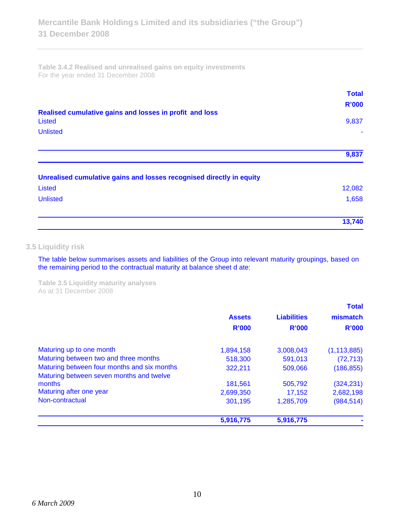**Table 3.4.2 Realised and unrealised gains on equity investments** For the year ended 31 December 2008

|                                                                      | <b>Total</b> |
|----------------------------------------------------------------------|--------------|
|                                                                      | <b>R'000</b> |
| Realised cumulative gains and losses in profit and loss              |              |
| <b>Listed</b>                                                        | 9,837        |
| <b>Unlisted</b>                                                      |              |
|                                                                      | 9,837        |
| Unrealised cumulative gains and losses recognised directly in equity |              |
| <b>Listed</b>                                                        | 12,082       |
| <b>Unlisted</b>                                                      | 1,658        |
|                                                                      | 13,740       |

# **3.5 Liquidity risk**

The table below summarises assets and liabilities of the Group into relevant maturity groupings, based on the remaining period to the contractual maturity at balance sheet d ate:

**Table 3.5 Liquidity maturity analyses** As at 31 December 2008

|                                                                                         |               |                    | <b>Total</b>  |
|-----------------------------------------------------------------------------------------|---------------|--------------------|---------------|
|                                                                                         | <b>Assets</b> | <b>Liabilities</b> | mismatch      |
|                                                                                         | <b>R'000</b>  | <b>R'000</b>       | <b>R'000</b>  |
| Maturing up to one month                                                                | 1,894,158     | 3,008,043          | (1, 113, 885) |
| Maturing between two and three months                                                   | 518,300       | 591,013            | (72, 713)     |
| Maturing between four months and six months<br>Maturing between seven months and twelve | 322,211       | 509,066            | (186, 855)    |
| months                                                                                  | 181,561       | 505,792            | (324, 231)    |
| Maturing after one year                                                                 | 2,699,350     | 17,152             | 2,682,198     |
| Non-contractual                                                                         | 301,195       | 1,285,709          | (984, 514)    |
|                                                                                         | 5,916,775     | 5,916,775          |               |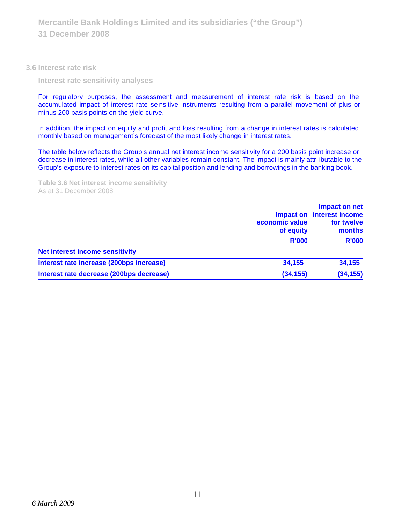**3.6 Interest rate risk**

**Interest rate sensitivity analyses**

For regulatory purposes, the assessment and measurement of interest rate risk is based on the accumulated impact of interest rate se nsitive instruments resulting from a parallel movement of plus or minus 200 basis points on the yield curve.

In addition, the impact on equity and profit and loss resulting from a change in interest rates is calculated monthly based on management's forec ast of the most likely change in interest rates.

The table below reflects the Group's annual net interest income sensitivity for a 200 basis point increase or decrease in interest rates, while all other variables remain constant. The impact is mainly attr ibutable to the Group's exposure to interest rates on its capital position and lending and borrowings in the banking book.

**Table 3.6 Net interest income sensitivity** As at 31 December 2008

|                                          | economic value<br>of equity<br><b>R'000</b> | Impact on net<br>Impact on interest income<br>for twelve<br>months<br><b>R'000</b> |
|------------------------------------------|---------------------------------------------|------------------------------------------------------------------------------------|
|                                          |                                             |                                                                                    |
| <b>Net interest income sensitivity</b>   |                                             |                                                                                    |
| Interest rate increase (200bps increase) | 34.155                                      | 34,155                                                                             |
| Interest rate decrease (200bps decrease) | (34, 155)                                   | (34, 155)                                                                          |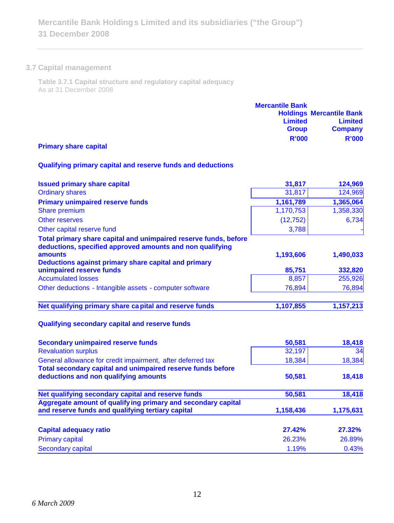## **3.7 Capital management**

**Table 3.7.1 Capital structure and regulatory capital adequacy** As at 31 December 2008

|                       | <b>Mercantile Bank</b> |                                 |
|-----------------------|------------------------|---------------------------------|
|                       |                        | <b>Holdings Mercantile Bank</b> |
|                       | <b>Limited</b>         | <b>Limited</b>                  |
|                       | <b>Group</b>           | <b>Company</b>                  |
|                       | <b>R'000</b>           | <b>R'000</b>                    |
| Drimary chara conital |                        |                                 |

#### **Primary share capital**

# **Qualifying primary capital and reserve funds and deductions**

| <b>Issued primary share capital</b>                                                                                           | 31,817    | 124,969              |
|-------------------------------------------------------------------------------------------------------------------------------|-----------|----------------------|
| <b>Ordinary shares</b>                                                                                                        | 31,817    | 124,969<br>1,365,064 |
| <b>Primary unimpaired reserve funds</b>                                                                                       | 1,161,789 |                      |
| Share premium                                                                                                                 | 1,170,753 | 1,358,330            |
| Other reserves                                                                                                                | (12, 752) | 6,734                |
| Other capital reserve fund                                                                                                    | 3,788     |                      |
| Total primary share capital and unimpaired reserve funds, before<br>deductions, specified approved amounts and non qualifying |           |                      |
| amounts                                                                                                                       | 1,193,606 | 1,490,033            |
| Deductions against primary share capital and primary                                                                          |           |                      |
| unimpaired reserve funds                                                                                                      | 85,751    | 332,820              |
| <b>Accumulated losses</b>                                                                                                     | 8,857     | 255,926              |
| Other deductions - Intangible assets - computer software                                                                      | 76,894    | 76,894               |
| Net qualifying primary share capital and reserve funds                                                                        | 1,107,855 | 1,157,213            |
|                                                                                                                               |           |                      |
| Qualifying secondary capital and reserve funds                                                                                |           |                      |
| <b>Secondary unimpaired reserve funds</b>                                                                                     | 50,581    | 18,418               |
| <b>Revaluation surplus</b>                                                                                                    | 32,197    | 34                   |
|                                                                                                                               |           |                      |

| <b>Revaluation surplus</b>                                                                           | 32,197    | 34        |
|------------------------------------------------------------------------------------------------------|-----------|-----------|
| General allowance for credit impairment, after deferred tax                                          | 18,384    | 18,384    |
| Total secondary capital and unimpaired reserve funds before<br>deductions and non qualifying amounts | 50,581    | 18,418    |
| Net qualifying secondary capital and reserve funds                                                   | 50,581    | 18,418    |
| Aggregate amount of qualifying primary and secondary capital                                         |           |           |
| and reserve funds and qualifying tertiary capital                                                    | 1,158,436 | 1,175,631 |
| <b>Capital adequacy ratio</b>                                                                        | 27.42%    | 27.32%    |
| <b>Primary capital</b>                                                                               | 26.23%    | 26.89%    |
| Secondary capital                                                                                    | 1.19%     | 0.43%     |